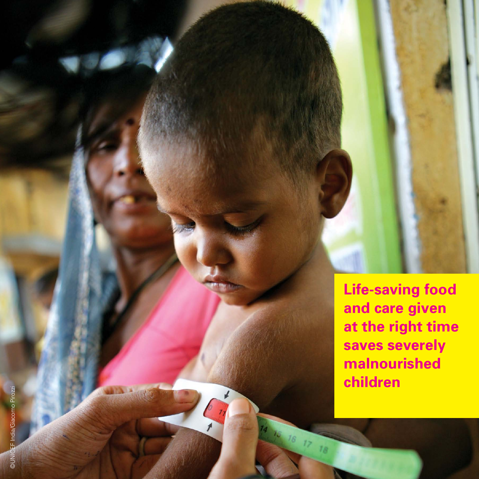**Life-saving food and care given at the right time saves severely malnourished children**

18